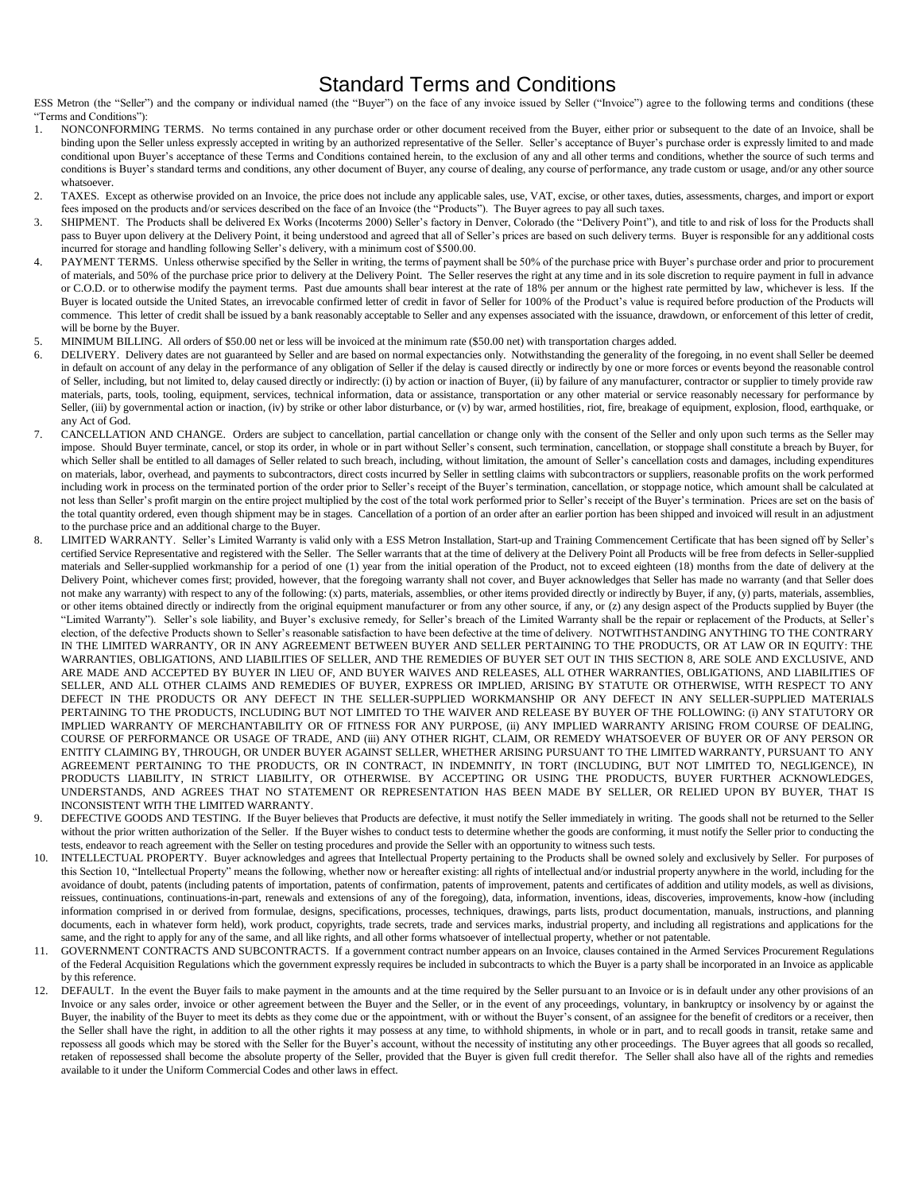## Standard Terms and Conditions

ESS Metron (the "Seller") and the company or individual named (the "Buyer") on the face of any invoice issued by Seller ("Invoice") agree to the following terms and conditions (these "Terms and Conditions"):

- 1. NONCONFORMING TERMS. No terms contained in any purchase order or other document received from the Buyer, either prior or subsequent to the date of an Invoice, shall be binding upon the Seller unless expressly accepted in writing by an authorized representative of the Seller. Seller's acceptance of Buyer's purchase order is expressly limited to and made conditional upon Buyer's acceptance of these Terms and Conditions contained herein, to the exclusion of any and all other terms and conditions, whether the source of such terms and conditions is Buyer's standard terms and conditions, any other document of Buyer, any course of dealing, any course of performance, any trade custom or usage, and/or any other source whatsoever.
- 2. TAXES. Except as otherwise provided on an Invoice, the price does not include any applicable sales, use, VAT, excise, or other taxes, duties, assessments, charges, and import or export fees imposed on the products and/or services described on the face of an Invoice (the "Products"). The Buyer agrees to pay all such taxes.
- 3. SHIPMENT. The Products shall be delivered Ex Works (Incoterms 2000) Seller's factory in Denver, Colorado (the "Delivery Point"), and title to and risk of loss for the Products shall pass to Buyer upon delivery at the Delivery Point, it being understood and agreed that all of Seller's prices are based on such delivery terms. Buyer is responsible for any additional costs incurred for storage and handling following Seller's delivery, with a minimum cost of \$500.00.
- PAYMENT TERMS. Unless otherwise specified by the Seller in writing, the terms of payment shall be 50% of the purchase price with Buyer's purchase order and prior to procurement of materials, and 50% of the purchase price prior to delivery at the Delivery Point. The Seller reserves the right at any time and in its sole discretion to require payment in full in advance or C.O.D. or to otherwise modify the payment terms. Past due amounts shall bear interest at the rate of 18% per annum or the highest rate permitted by law, whichever is less. If the Buyer is located outside the United States, an irrevocable confirmed letter of credit in favor of Seller for 100% of the Product's value is required before production of the Products will commence. This letter of credit shall be issued by a bank reasonably acceptable to Seller and any expenses associated with the issuance, drawdown, or enforcement of this letter of credit, will be borne by the Buyer.
- 5. MINIMUM BILLING. All orders of \$50.00 net or less will be invoiced at the minimum rate (\$50.00 net) with transportation charges added.
- 6. DELIVERY. Delivery dates are not guaranteed by Seller and are based on normal expectancies only. Notwithstanding the generality of the foregoing, in no event shall Seller be deemed in default on account of any delay in the performance of any obligation of Seller if the delay is caused directly or indirectly by one or more forces or events beyond the reasonable control of Seller, including, but not limited to, delay caused directly or indirectly: (i) by action or inaction of Buyer, (ii) by failure of any manufacturer, contractor or supplier to timely provide raw materials, parts, tools, tooling, equipment, services, technical information, data or assistance, transportation or any other material or service reasonably necessary for performance by Seller, (iii) by governmental action or inaction, (iv) by strike or other labor disturbance, or (v) by war, armed hostilities, riot, fire, breakage of equipment, explosion, flood, earthquake, or any Act of God.
- 7. CANCELLATION AND CHANGE. Orders are subject to cancellation, partial cancellation or change only with the consent of the Seller and only upon such terms as the Seller may impose. Should Buyer terminate, cancel, or stop its order, in whole or in part without Seller's consent, such termination, cancellation, or stoppage shall constitute a breach by Buyer, for which Seller shall be entitled to all damages of Seller related to such breach, including, without limitation, the amount of Seller's cancellation costs and damages, including expenditures on materials, labor, overhead, and payments to subcontractors, direct costs incurred by Seller in settling claims with subcontractors or suppliers, reasonable profits on the work performed including work in process on the terminated portion of the order prior to Seller's receipt of the Buyer's termination, cancellation, or stoppage notice, which amount shall be calculated at not less than Seller's profit margin on the entire project multiplied by the cost of the total work performed prior to Seller's receipt of the Buyer's termination. Prices are set on the basis of the total quantity ordered, even though shipment may be in stages. Cancellation of a portion of an order after an earlier portion has been shipped and invoiced will result in an adjustment to the purchase price and an additional charge to the Buyer.
- 8. LIMITED WARRANTY. Seller's Limited Warranty is valid only with a ESS Metron Installation, Start-up and Training Commencement Certificate that has been signed off by Seller's certified Service Representative and registered with the Seller. The Seller warrants that at the time of delivery at the Delivery Point all Products will be free from defects in Seller-supplied materials and Seller-supplied workmanship for a period of one (1) year from the initial operation of the Product, not to exceed eighteen (18) months from the date of delivery at the Delivery Point, whichever comes first; provided, however, that the foregoing warranty shall not cover, and Buyer acknowledges that Seller has made no warranty (and that Seller does not make any warranty) with respect to any of the following: (x) parts, materials, assemblies, or other items provided directly or indirectly by Buyer, if any, (y) parts, materials, assemblies, or other items obtained directly or indirectly from the original equipment manufacturer or from any other source, if any, or (z) any design aspect of the Products supplied by Buyer (the "Limited Warranty"). Seller's sole liability, and Buyer's exclusive remedy, for Seller's breach of the Limited Warranty shall be the repair or replacement of the Products, at Seller's election, of the defective Products shown to Seller's reasonable satisfaction to have been defective at the time of delivery. NOTWITHSTANDING ANYTHING TO THE CONTRARY IN THE LIMITED WARRANTY, OR IN ANY AGREEMENT BETWEEN BUYER AND SELLER PERTAINING TO THE PRODUCTS, OR AT LAW OR IN EQUITY: THE WARRANTIES, OBLIGATIONS, AND LIABILITIES OF SELLER, AND THE REMEDIES OF BUYER SET OUT IN THIS SECTION 8, ARE SOLE AND EXCLUSIVE, AND ARE MADE AND ACCEPTED BY BUYER IN LIEU OF, AND BUYER WAIVES AND RELEASES, ALL OTHER WARRANTIES, OBLIGATIONS, AND LIABILITIES OF SELLER, AND ALL OTHER CLAIMS AND REMEDIES OF BUYER, EXPRESS OR IMPLIED, ARISING BY STATUTE OR OTHERWISE, WITH RESPECT TO ANY DEFECT IN THE PRODUCTS OR ANY DEFECT IN THE SELLER-SUPPLIED WORKMANSHIP OR ANY DEFECT IN ANY SELLER-SUPPLIED MATERIALS PERTAINING TO THE PRODUCTS, INCLUDING BUT NOT LIMITED TO THE WAIVER AND RELEASE BY BUYER OF THE FOLLOWING: (i) ANY STATUTORY OR IMPLIED WARRANTY OF MERCHANTABILITY OR OF FITNESS FOR ANY PURPOSE, (ii) ANY IMPLIED WARRANTY ARISING FROM COURSE OF DEALING, COURSE OF PERFORMANCE OR USAGE OF TRADE, AND (iii) ANY OTHER RIGHT, CLAIM, OR REMEDY WHATSOEVER OF BUYER OR OF ANY PERSON OR ENTITY CLAIMING BY, THROUGH, OR UNDER BUYER AGAINST SELLER, WHETHER ARISING PURSUANT TO THE LIMITED WARRANTY, PURSUANT TO ANY AGREEMENT PERTAINING TO THE PRODUCTS, OR IN CONTRACT, IN INDEMNITY, IN TORT (INCLUDING, BUT NOT LIMITED TO, NEGLIGENCE), IN PRODUCTS LIABILITY, IN STRICT LIABILITY, OR OTHERWISE. BY ACCEPTING OR USING THE PRODUCTS, BUYER FURTHER ACKNOWLEDGES, UNDERSTANDS, AND AGREES THAT NO STATEMENT OR REPRESENTATION HAS BEEN MADE BY SELLER, OR RELIED UPON BY BUYER, THAT IS INCONSISTENT WITH THE LIMITED WARRANTY.
- DEFECTIVE GOODS AND TESTING. If the Buyer believes that Products are defective, it must notify the Seller immediately in writing. The goods shall not be returned to the Seller without the prior written authorization of the Seller. If the Buyer wishes to conduct tests to determine whether the goods are conforming, it must notify the Seller prior to conducting the tests, endeavor to reach agreement with the Seller on testing procedures and provide the Seller with an opportunity to witness such tests.
- 10. INTELLECTUAL PROPERTY. Buyer acknowledges and agrees that Intellectual Property pertaining to the Products shall be owned solely and exclusively by Seller. For purposes of this Section 10, "Intellectual Property" means the following, whether now or hereafter existing: all rights of intellectual and/or industrial property anywhere in the world, including for the avoidance of doubt, patents (including patents of importation, patents of confirmation, patents of improvement, patents and certificates of addition and utility models, as well as divisions, reissues, continuations, continuations-in-part, renewals and extensions of any of the foregoing), data, information, inventions, ideas, discoveries, improvements, know-how (including information comprised in or derived from formulae, designs, specifications, processes, techniques, drawings, parts lists, product documentation, manuals, instructions, and planning documents, each in whatever form held), work product, copyrights, trade secrets, trade and services marks, industrial property, and including all registrations and applications for the same, and the right to apply for any of the same, and all like rights, and all other forms whatsoever of intellectual property, whether or not patentable.
- 11. GOVERNMENT CONTRACTS AND SUBCONTRACTS. If a government contract number appears on an Invoice, clauses contained in the Armed Services Procurement Regulations of the Federal Acquisition Regulations which the government expressly requires be included in subcontracts to which the Buyer is a party shall be incorporated in an Invoice as applicable by this reference.
- 12. DEFAULT. In the event the Buyer fails to make payment in the amounts and at the time required by the Seller pursuant to an Invoice or is in default under any other provisions of an Invoice or any sales order, invoice or other agreement between the Buyer and the Seller, or in the event of any proceedings, voluntary, in bankruptcy or insolvency by or against the Buyer, the inability of the Buyer to meet its debts as they come due or the appointment, with or without the Buyer's consent, of an assignee for the benefit of creditors or a receiver, then the Seller shall have the right, in addition to all the other rights it may possess at any time, to withhold shipments, in whole or in part, and to recall goods in transit, retake same and repossess all goods which may be stored with the Seller for the Buyer's account, without the necessity of instituting any other proceedings. The Buyer agrees that all goods so recalled, retaken of repossessed shall become the absolute property of the Seller, provided that the Buyer is given full credit therefor. The Seller shall also have all of the rights and remedies available to it under the Uniform Commercial Codes and other laws in effect.